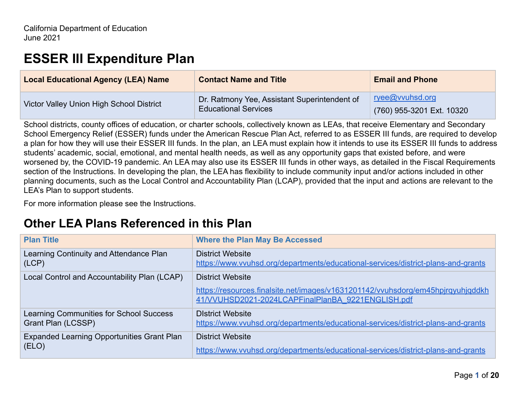# **ESSER III Expenditure Plan**

| <b>Contact Name and Title</b>                | <b>Email and Phone</b>                       |
|----------------------------------------------|----------------------------------------------|
| Dr. Ratmony Yee, Assistant Superintendent of | ryee@vvuhsd.org<br>(760) 955-3201 Ext. 10320 |
|                                              | <b>Educational Services</b>                  |

School districts, county offices of education, or charter schools, collectively known as LEAs, that receive Elementary and Secondary School Emergency Relief (ESSER) funds under the American Rescue Plan Act, referred to as ESSER III funds, are required to develop a plan for how they will use their ESSER III funds. In the plan, an LEA must explain how it intends to use its ESSER III funds to address students' academic, social, emotional, and mental health needs, as well as any opportunity gaps that existed before, and were worsened by, the COVID-19 pandemic. An LEA may also use its ESSER III funds in other ways, as detailed in the Fiscal Requirements section of the Instructions. In developing the plan, the LEA has flexibility to include community input and/or actions included in other planning documents, such as the Local Control and Accountability Plan (LCAP), provided that the input and actions are relevant to the LEA's Plan to support students.

For more information please see the Instructions.

# **Other LEA Plans Referenced in this Plan**

| <b>Plan Title</b>                                 | <b>Where the Plan May Be Accessed</b>                                                                                                |
|---------------------------------------------------|--------------------------------------------------------------------------------------------------------------------------------------|
| Learning Continuity and Attendance Plan<br>(LCP)  | <b>District Website</b><br>https://www.vvuhsd.org/departments/educational-services/district-plans-and-grants                         |
| Local Control and Accountability Plan (LCAP)      | <b>District Website</b>                                                                                                              |
|                                                   | https://resources.finalsite.net/images/v1631201142/vvuhsdorg/em45hpjrgyuhjqddkh<br>41/VVUHSD2021-2024LCAPFinalPlanBA 9221ENGLISH.pdf |
| Learning Communities for School Success           | <b>District Website</b>                                                                                                              |
| Grant Plan (LCSSP)                                | https://www.vvuhsd.org/departments/educational-services/district-plans-and-grants                                                    |
| <b>Expanded Learning Opportunities Grant Plan</b> | <b>District Website</b>                                                                                                              |
| (ELO)                                             | https://www.vvuhsd.org/departments/educational-services/district-plans-and-grants                                                    |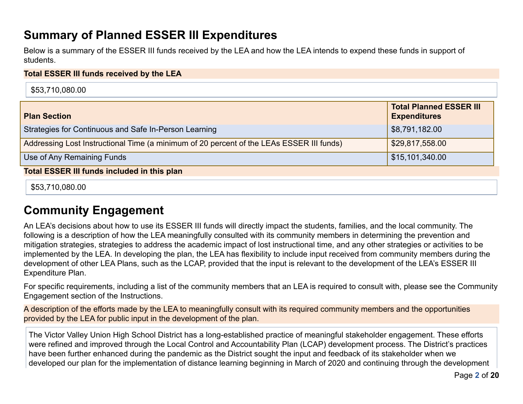# **Summary of Planned ESSER III Expenditures**

Below is a summary of the ESSER III funds received by the LEA and how the LEA intends to expend these funds in support of students.

#### **Total ESSER III funds received by the LEA**

| \$53,710,080.00                                                                          |                                                       |  |
|------------------------------------------------------------------------------------------|-------------------------------------------------------|--|
| <b>Plan Section</b>                                                                      | <b>Total Planned ESSER III</b><br><b>Expenditures</b> |  |
| Strategies for Continuous and Safe In-Person Learning                                    | \$8,791,182.00                                        |  |
| Addressing Lost Instructional Time (a minimum of 20 percent of the LEAs ESSER III funds) | \$29,817,558.00                                       |  |
| Use of Any Remaining Funds                                                               | \$15,101,340.00                                       |  |
| <b>Total ESSER III funds included in this plan</b>                                       |                                                       |  |
|                                                                                          |                                                       |  |

\$53,710,080.00

# **Community Engagement**

An LEA's decisions about how to use its ESSER III funds will directly impact the students, families, and the local community. The following is a description of how the LEA meaningfully consulted with its community members in determining the prevention and mitigation strategies, strategies to address the academic impact of lost instructional time, and any other strategies or activities to be implemented by the LEA. In developing the plan, the LEA has flexibility to include input received from community members during the development of other LEA Plans, such as the LCAP, provided that the input is relevant to the development of the LEA's ESSER III Expenditure Plan.

For specific requirements, including a list of the community members that an LEA is required to consult with, please see the Community Engagement section of the Instructions.

A description of the efforts made by the LEA to meaningfully consult with its required community members and the opportunities provided by the LEA for public input in the development of the plan.

The Victor Valley Union High School District has a long-established practice of meaningful stakeholder engagement. These efforts were refined and improved through the Local Control and Accountability Plan (LCAP) development process. The District's practices have been further enhanced during the pandemic as the District sought the input and feedback of its stakeholder when we developed our plan for the implementation of distance learning beginning in March of 2020 and continuing through the development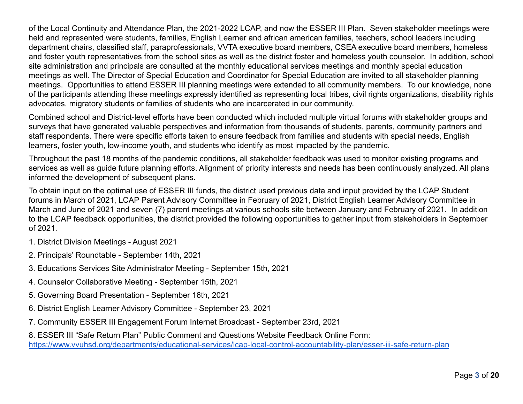of the Local Continuity and Attendance Plan, the 2021-2022 LCAP, and now the ESSER III Plan. Seven stakeholder meetings were held and represented were students, families, English Learner and african american families, teachers, school leaders including department chairs, classified staff, paraprofessionals, VVTA executive board members, CSEA executive board members, homeless and foster youth representatives from the school sites as well as the district foster and homeless youth counselor. In addition, school site administration and principals are consulted at the monthly educational services meetings and monthly special education meetings as well. The Director of Special Education and Coordinator for Special Education are invited to all stakeholder planning meetings. Opportunities to attend ESSER III planning meetings were extended to all community members. To our knowledge, none of the participants attending these meetings expressly identified as representing local tribes, civil rights organizations, disability rights advocates, migratory students or families of students who are incarcerated in our community.

Combined school and District-level efforts have been conducted which included multiple virtual forums with stakeholder groups and surveys that have generated valuable perspectives and information from thousands of students, parents, community partners and staff respondents. There were specific efforts taken to ensure feedback from families and students with special needs, English learners, foster youth, low-income youth, and students who identify as most impacted by the pandemic.

Throughout the past 18 months of the pandemic conditions, all stakeholder feedback was used to monitor existing programs and services as well as guide future planning efforts. Alignment of priority interests and needs has been continuously analyzed. All plans informed the development of subsequent plans.

To obtain input on the optimal use of ESSER III funds, the district used previous data and input provided by the LCAP Student forums in March of 2021, LCAP Parent Advisory Committee in February of 2021, District English Learner Advisory Committee in March and June of 2021 and seven (7) parent meetings at various schools site between January and February of 2021. In addition to the LCAP feedback opportunities, the district provided the following opportunities to gather input from stakeholders in September of 2021.

- 1. District Division Meetings August 2021
- 2. Principals' Roundtable September 14th, 2021
- 3. Educations Services Site Administrator Meeting September 15th, 2021
- 4. Counselor Collaborative Meeting September 15th, 2021
- 5. Governing Board Presentation September 16th, 2021
- 6. District English Learner Advisory Committee September 23, 2021
- 7. Community ESSER III Engagement Forum Internet Broadcast September 23rd, 2021
- 8. ESSER III "Safe Return Plan" Public Comment and Questions Website Feedback Online Form: <https://www.vvuhsd.org/departments/educational-services/lcap-local-control-accountability-plan/esser-iii-safe-return-plan>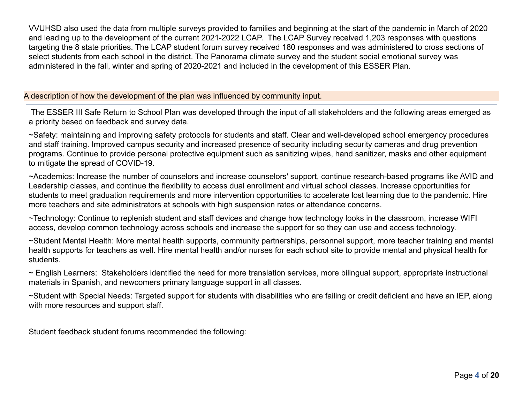VVUHSD also used the data from multiple surveys provided to families and beginning at the start of the pandemic in March of 2020 and leading up to the development of the current 2021-2022 LCAP. The LCAP Survey received 1,203 responses with questions targeting the 8 state priorities. The LCAP student forum survey received 180 responses and was administered to cross sections of select students from each school in the district. The Panorama climate survey and the student social emotional survey was administered in the fall, winter and spring of 2020-2021 and included in the development of this ESSER Plan.

A description of how the development of the plan was influenced by community input.

The ESSER III Safe Return to School Plan was developed through the input of all stakeholders and the following areas emerged as a priority based on feedback and survey data.

~Safety: maintaining and improving safety protocols for students and staff. Clear and well-developed school emergency procedures and staff training. Improved campus security and increased presence of security including security cameras and drug prevention programs. Continue to provide personal protective equipment such as sanitizing wipes, hand sanitizer, masks and other equipment to mitigate the spread of COVID-19.

~Academics: Increase the number of counselors and increase counselors' support, continue research-based programs like AVID and Leadership classes, and continue the flexibility to access dual enrollment and virtual school classes. Increase opportunities for students to meet graduation requirements and more intervention opportunities to accelerate lost learning due to the pandemic. Hire more teachers and site administrators at schools with high suspension rates or attendance concerns.

~Technology: Continue to replenish student and staff devices and change how technology looks in the classroom, increase WIFI access, develop common technology across schools and increase the support for so they can use and access technology.

~Student Mental Health: More mental health supports, community partnerships, personnel support, more teacher training and mental health supports for teachers as well. Hire mental health and/or nurses for each school site to provide mental and physical health for students.

~ English Learners: Stakeholders identified the need for more translation services, more bilingual support, appropriate instructional materials in Spanish, and newcomers primary language support in all classes.

~Student with Special Needs: Targeted support for students with disabilities who are failing or credit deficient and have an IEP, along with more resources and support staff.

Student feedback student forums recommended the following: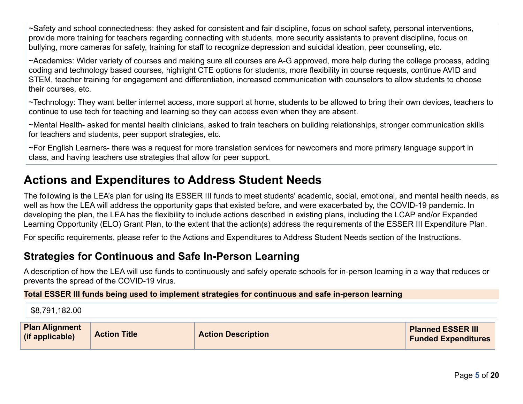~Safety and school connectedness: they asked for consistent and fair discipline, focus on school safety, personal interventions, provide more training for teachers regarding connecting with students, more security assistants to prevent discipline, focus on bullying, more cameras for safety, training for staff to recognize depression and suicidal ideation, peer counseling, etc.

~Academics: Wider variety of courses and making sure all courses are A-G approved, more help during the college process, adding coding and technology based courses, highlight CTE options for students, more flexibility in course requests, continue AVID and STEM, teacher training for engagement and differentiation, increased communication with counselors to allow students to choose their courses, etc.

~Technology: They want better internet access, more support at home, students to be allowed to bring their own devices, teachers to continue to use tech for teaching and learning so they can access even when they are absent.

~Mental Health- asked for mental health clinicians, asked to train teachers on building relationships, stronger communication skills for teachers and students, peer support strategies, etc.

~For English Learners- there was a request for more translation services for newcomers and more primary language support in class, and having teachers use strategies that allow for peer support.

# **Actions and Expenditures to Address Student Needs**

The following is the LEA's plan for using its ESSER III funds to meet students' academic, social, emotional, and mental health needs, as well as how the LEA will address the opportunity gaps that existed before, and were exacerbated by, the COVID-19 pandemic. In developing the plan, the LEA has the flexibility to include actions described in existing plans, including the LCAP and/or Expanded Learning Opportunity (ELO) Grant Plan, to the extent that the action(s) address the requirements of the ESSER III Expenditure Plan.

For specific requirements, please refer to the Actions and Expenditures to Address Student Needs section of the Instructions.

# **Strategies for Continuous and Safe In-Person Learning**

A description of how the LEA will use funds to continuously and safely operate schools for in-person learning in a way that reduces or prevents the spread of the COVID-19 virus.

### **Total ESSER III funds being used to implement strategies for continuous and safe in-person learning**

| \$8,791,182.00 |
|----------------|
|                |

| <b>Plan Alignment</b><br>(if applicable) | <b>Action Title</b> | <b>Action Description</b> | <b>Planned ESSER III</b><br><b>Funded Expenditures</b> |
|------------------------------------------|---------------------|---------------------------|--------------------------------------------------------|
|------------------------------------------|---------------------|---------------------------|--------------------------------------------------------|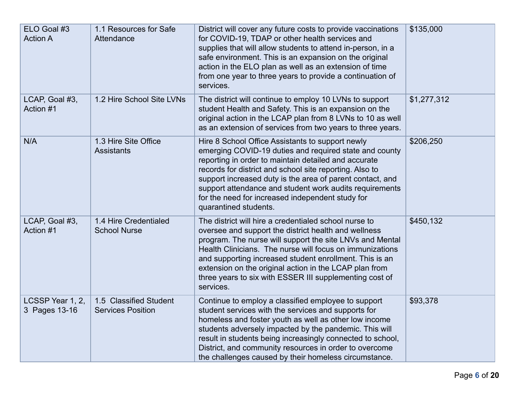| ELO Goal #3<br><b>Action A</b>    | 1.1 Resources for Safe<br>Attendance               | District will cover any future costs to provide vaccinations<br>for COVID-19, TDAP or other health services and<br>supplies that will allow students to attend in-person, in a<br>safe environment. This is an expansion on the original<br>action in the ELO plan as well as an extension of time<br>from one year to three years to provide a continuation of<br>services.                                                       | \$135,000   |
|-----------------------------------|----------------------------------------------------|------------------------------------------------------------------------------------------------------------------------------------------------------------------------------------------------------------------------------------------------------------------------------------------------------------------------------------------------------------------------------------------------------------------------------------|-------------|
| LCAP, Goal #3,<br>Action #1       | 1.2 Hire School Site LVNs                          | The district will continue to employ 10 LVNs to support<br>student Health and Safety. This is an expansion on the<br>original action in the LCAP plan from 8 LVNs to 10 as well<br>as an extension of services from two years to three years.                                                                                                                                                                                      | \$1,277,312 |
| N/A                               | 1.3 Hire Site Office<br><b>Assistants</b>          | Hire 8 School Office Assistants to support newly<br>emerging COVID-19 duties and required state and county<br>reporting in order to maintain detailed and accurate<br>records for district and school site reporting. Also to<br>support increased duty is the area of parent contact, and<br>support attendance and student work audits requirements<br>for the need for increased independent study for<br>quarantined students. | \$206,250   |
| LCAP, Goal #3,<br>Action #1       | 1.4 Hire Credentialed<br><b>School Nurse</b>       | The district will hire a credentialed school nurse to<br>oversee and support the district health and wellness<br>program. The nurse will support the site LNVs and Mental<br>Health Clinicians. The nurse will focus on immunizations<br>and supporting increased student enrollment. This is an<br>extension on the original action in the LCAP plan from<br>three years to six with ESSER III supplementing cost of<br>services. | \$450,132   |
| LCSSP Year 1, 2,<br>3 Pages 13-16 | 1.5 Classified Student<br><b>Services Position</b> | Continue to employ a classified employee to support<br>student services with the services and supports for<br>homeless and foster youth as well as other low income<br>students adversely impacted by the pandemic. This will<br>result in students being increasingly connected to school,<br>District, and community resources in order to overcome<br>the challenges caused by their homeless circumstance.                     | \$93,378    |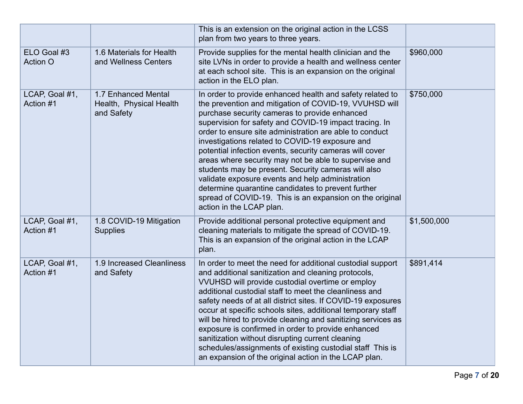|                                |                                                              | This is an extension on the original action in the LCSS<br>plan from two years to three years.                                                                                                                                                                                                                                                                                                                                                                                                                                                                                                                                                                                                                            |             |
|--------------------------------|--------------------------------------------------------------|---------------------------------------------------------------------------------------------------------------------------------------------------------------------------------------------------------------------------------------------------------------------------------------------------------------------------------------------------------------------------------------------------------------------------------------------------------------------------------------------------------------------------------------------------------------------------------------------------------------------------------------------------------------------------------------------------------------------------|-------------|
| ELO Goal #3<br><b>Action O</b> | 1.6 Materials for Health<br>and Wellness Centers             | Provide supplies for the mental health clinician and the<br>site LVNs in order to provide a health and wellness center<br>at each school site. This is an expansion on the original<br>action in the ELO plan.                                                                                                                                                                                                                                                                                                                                                                                                                                                                                                            | \$960,000   |
| LCAP, Goal #1,<br>Action #1    | 1.7 Enhanced Mental<br>Health, Physical Health<br>and Safety | In order to provide enhanced health and safety related to<br>the prevention and mitigation of COVID-19, VVUHSD will<br>purchase security cameras to provide enhanced<br>supervision for safety and COVID-19 impact tracing. In<br>order to ensure site administration are able to conduct<br>investigations related to COVID-19 exposure and<br>potential infection events, security cameras will cover<br>areas where security may not be able to supervise and<br>students may be present. Security cameras will also<br>validate exposure events and help administration<br>determine quarantine candidates to prevent further<br>spread of COVID-19. This is an expansion on the original<br>action in the LCAP plan. | \$750,000   |
| LCAP, Goal #1,<br>Action #1    | 1.8 COVID-19 Mitigation<br><b>Supplies</b>                   | Provide additional personal protective equipment and<br>cleaning materials to mitigate the spread of COVID-19.<br>This is an expansion of the original action in the LCAP<br>plan.                                                                                                                                                                                                                                                                                                                                                                                                                                                                                                                                        | \$1,500,000 |
| LCAP, Goal #1,<br>Action #1    | 1.9 Increased Cleanliness<br>and Safety                      | In order to meet the need for additional custodial support<br>and additional sanitization and cleaning protocols,<br>VVUHSD will provide custodial overtime or employ<br>additional custodial staff to meet the cleanliness and<br>safety needs of at all district sites. If COVID-19 exposures<br>occur at specific schools sites, additional temporary staff<br>will be hired to provide cleaning and sanitizing services as<br>exposure is confirmed in order to provide enhanced<br>sanitization without disrupting current cleaning<br>schedules/assignments of existing custodial staff This is<br>an expansion of the original action in the LCAP plan.                                                            | \$891,414   |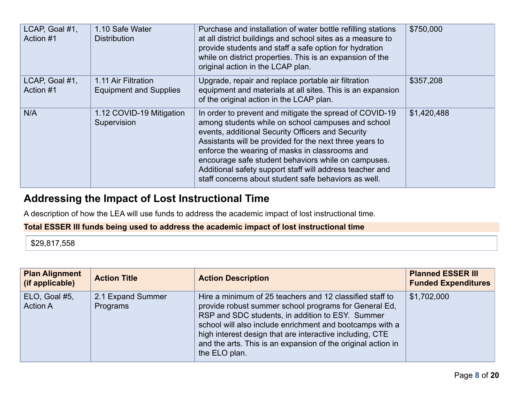| LCAP, Goal #1,<br>Action #1 | 1.10 Safe Water<br><b>Distribution</b>               | Purchase and installation of water bottle refilling stations<br>at all district buildings and school sites as a measure to<br>provide students and staff a safe option for hydration<br>while on district properties. This is an expansion of the<br>original action in the LCAP plan.                                                                                                                                                                     | \$750,000   |
|-----------------------------|------------------------------------------------------|------------------------------------------------------------------------------------------------------------------------------------------------------------------------------------------------------------------------------------------------------------------------------------------------------------------------------------------------------------------------------------------------------------------------------------------------------------|-------------|
| LCAP, Goal #1,<br>Action #1 | 1.11 Air Filtration<br><b>Equipment and Supplies</b> | Upgrade, repair and replace portable air filtration<br>equipment and materials at all sites. This is an expansion<br>of the original action in the LCAP plan.                                                                                                                                                                                                                                                                                              | \$357,208   |
| N/A                         | 1.12 COVID-19 Mitigation<br>Supervision              | In order to prevent and mitigate the spread of COVID-19<br>among students while on school campuses and school<br>events, additional Security Officers and Security<br>Assistants will be provided for the next three years to<br>enforce the wearing of masks in classrooms and<br>encourage safe student behaviors while on campuses.<br>Additional safety support staff will address teacher and<br>staff concerns about student safe behaviors as well. | \$1,420,488 |

## **Addressing the Impact of Lost Instructional Time**

A description of how the LEA will use funds to address the academic impact of lost instructional time.

#### **Total ESSER III funds being used to address the academic impact of lost instructional time**

\$29,817,558

| <b>Plan Alignment</b><br>(if applicable) | <b>Action Title</b>           | <b>Action Description</b>                                                                                                                                                                                                                                                                                                                                                      | <b>Planned ESSER III</b><br><b>Funded Expenditures</b> |
|------------------------------------------|-------------------------------|--------------------------------------------------------------------------------------------------------------------------------------------------------------------------------------------------------------------------------------------------------------------------------------------------------------------------------------------------------------------------------|--------------------------------------------------------|
| ELO, Goal #5,<br><b>Action A</b>         | 2.1 Expand Summer<br>Programs | Hire a minimum of 25 teachers and 12 classified staff to<br>provide robust summer school programs for General Ed.<br>RSP and SDC students, in addition to ESY. Summer<br>school will also include enrichment and bootcamps with a<br>high interest design that are interactive including, CTE<br>and the arts. This is an expansion of the original action in<br>the ELO plan. | \$1,702,000                                            |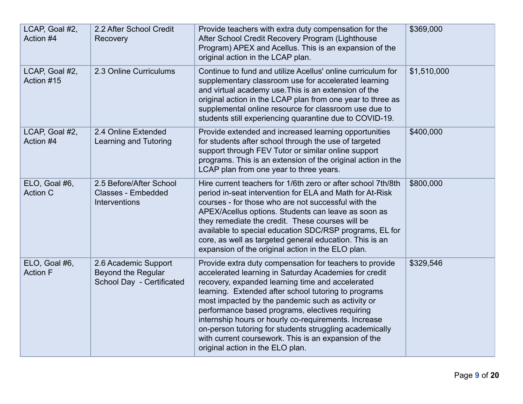| LCAP, Goal #2,<br>Action #4      | 2.2 After School Credit<br>Recovery                                          | Provide teachers with extra duty compensation for the<br>After School Credit Recovery Program (Lighthouse<br>Program) APEX and Acellus. This is an expansion of the<br>original action in the LCAP plan.                                                                                                                                                                                                                                                                                                                                            | \$369,000   |
|----------------------------------|------------------------------------------------------------------------------|-----------------------------------------------------------------------------------------------------------------------------------------------------------------------------------------------------------------------------------------------------------------------------------------------------------------------------------------------------------------------------------------------------------------------------------------------------------------------------------------------------------------------------------------------------|-------------|
| LCAP, Goal #2,<br>Action #15     | 2.3 Online Curriculums                                                       | Continue to fund and utilize Acellus' online curriculum for<br>supplementary classroom use for accelerated learning<br>and virtual academy use. This is an extension of the<br>original action in the LCAP plan from one year to three as<br>supplemental online resource for classroom use due to<br>students still experiencing quarantine due to COVID-19.                                                                                                                                                                                       | \$1,510,000 |
| LCAP, Goal #2,<br>Action #4      | 2.4 Online Extended<br><b>Learning and Tutoring</b>                          | Provide extended and increased learning opportunities<br>for students after school through the use of targeted<br>support through FEV Tutor or similar online support<br>programs. This is an extension of the original action in the<br>LCAP plan from one year to three years.                                                                                                                                                                                                                                                                    | \$400,000   |
| ELO, Goal #6,<br><b>Action C</b> | 2.5 Before/After School<br><b>Classes - Embedded</b><br><b>Interventions</b> | Hire current teachers for 1/6th zero or after school 7th/8th<br>period in-seat intervention for ELA and Math for At-Risk<br>courses - for those who are not successful with the<br>APEX/Acellus options. Students can leave as soon as<br>they remediate the credit. These courses will be<br>available to special education SDC/RSP programs, EL for<br>core, as well as targeted general education. This is an<br>expansion of the original action in the ELO plan.                                                                               | \$800,000   |
| ELO, Goal #6,<br><b>Action F</b> | 2.6 Academic Support<br>Beyond the Regular<br>School Day - Certificated      | Provide extra duty compensation for teachers to provide<br>accelerated learning in Saturday Academies for credit<br>recovery, expanded learning time and accelerated<br>learning. Extended after school tutoring to programs<br>most impacted by the pandemic such as activity or<br>performance based programs, electives requiring<br>internship hours or hourly co-requirements. Increase<br>on-person tutoring for students struggling academically<br>with current coursework. This is an expansion of the<br>original action in the ELO plan. | \$329,546   |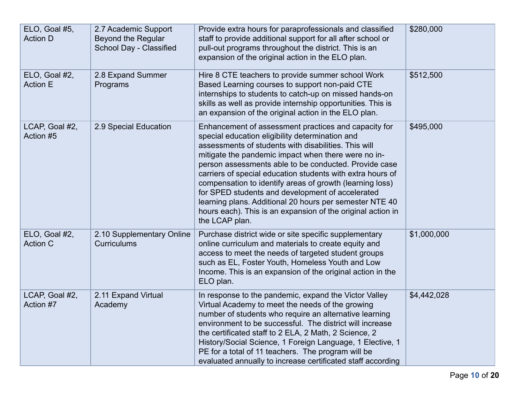| ELO, Goal #5,<br><b>Action D</b> | 2.7 Academic Support<br>Beyond the Regular<br>School Day - Classified | Provide extra hours for paraprofessionals and classified<br>staff to provide additional support for all after school or<br>pull-out programs throughout the district. This is an<br>expansion of the original action in the ELO plan.                                                                                                                                                                                                                                                                                                                                                                     | \$280,000   |
|----------------------------------|-----------------------------------------------------------------------|-----------------------------------------------------------------------------------------------------------------------------------------------------------------------------------------------------------------------------------------------------------------------------------------------------------------------------------------------------------------------------------------------------------------------------------------------------------------------------------------------------------------------------------------------------------------------------------------------------------|-------------|
| ELO, Goal #2,<br><b>Action E</b> | 2.8 Expand Summer<br>Programs                                         | Hire 8 CTE teachers to provide summer school Work<br>Based Learning courses to support non-paid CTE<br>internships to students to catch-up on missed hands-on<br>skills as well as provide internship opportunities. This is<br>an expansion of the original action in the ELO plan.                                                                                                                                                                                                                                                                                                                      | \$512,500   |
| LCAP, Goal #2,<br>Action #5      | 2.9 Special Education                                                 | Enhancement of assessment practices and capacity for<br>special education eligibility determination and<br>assessments of students with disabilities. This will<br>mitigate the pandemic impact when there were no in-<br>person assessments able to be conducted. Provide case<br>carriers of special education students with extra hours of<br>compensation to identify areas of growth (learning loss)<br>for SPED students and development of accelerated<br>learning plans. Additional 20 hours per semester NTE 40<br>hours each). This is an expansion of the original action in<br>the LCAP plan. | \$495,000   |
| ELO, Goal #2,<br><b>Action C</b> | 2.10 Supplementary Online<br><b>Curriculums</b>                       | Purchase district wide or site specific supplementary<br>online curriculum and materials to create equity and<br>access to meet the needs of targeted student groups<br>such as EL, Foster Youth, Homeless Youth and Low<br>Income. This is an expansion of the original action in the<br>ELO plan.                                                                                                                                                                                                                                                                                                       | \$1,000,000 |
| LCAP, Goal #2,<br>Action #7      | 2.11 Expand Virtual<br>Academy                                        | In response to the pandemic, expand the Victor Valley<br>Virtual Academy to meet the needs of the growing<br>number of students who require an alternative learning<br>environment to be successful. The district will increase<br>the certificated staff to 2 ELA, 2 Math, 2 Science, 2<br>History/Social Science, 1 Foreign Language, 1 Elective, 1<br>PE for a total of 11 teachers. The program will be<br>evaluated annually to increase certificated staff according                                                                                                                                | \$4,442,028 |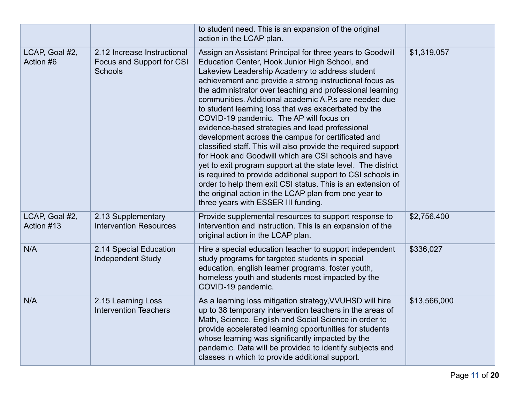|                              |                                                                     | to student need. This is an expansion of the original<br>action in the LCAP plan.                                                                                                                                                                                                                                                                                                                                                                                                                                                                                                                                                                                                                                                                                                                                                                                                                                                                                                 |              |
|------------------------------|---------------------------------------------------------------------|-----------------------------------------------------------------------------------------------------------------------------------------------------------------------------------------------------------------------------------------------------------------------------------------------------------------------------------------------------------------------------------------------------------------------------------------------------------------------------------------------------------------------------------------------------------------------------------------------------------------------------------------------------------------------------------------------------------------------------------------------------------------------------------------------------------------------------------------------------------------------------------------------------------------------------------------------------------------------------------|--------------|
| LCAP, Goal #2,<br>Action #6  | 2.12 Increase Instructional<br>Focus and Support for CSI<br>Schools | Assign an Assistant Principal for three years to Goodwill<br>Education Center, Hook Junior High School, and<br>Lakeview Leadership Academy to address student<br>achievement and provide a strong instructional focus as<br>the administrator over teaching and professional learning<br>communities. Additional academic A.P.s are needed due<br>to student learning loss that was exacerbated by the<br>COVID-19 pandemic. The AP will focus on<br>evidence-based strategies and lead professional<br>development across the campus for certificated and<br>classified staff. This will also provide the required support<br>for Hook and Goodwill which are CSI schools and have<br>yet to exit program support at the state level. The district<br>is required to provide additional support to CSI schools in<br>order to help them exit CSI status. This is an extension of<br>the original action in the LCAP plan from one year to<br>three years with ESSER III funding. | \$1,319,057  |
| LCAP, Goal #2,<br>Action #13 | 2.13 Supplementary<br><b>Intervention Resources</b>                 | Provide supplemental resources to support response to<br>intervention and instruction. This is an expansion of the<br>original action in the LCAP plan.                                                                                                                                                                                                                                                                                                                                                                                                                                                                                                                                                                                                                                                                                                                                                                                                                           | \$2,756,400  |
| N/A                          | 2.14 Special Education<br><b>Independent Study</b>                  | Hire a special education teacher to support independent<br>study programs for targeted students in special<br>education, english learner programs, foster youth,<br>homeless youth and students most impacted by the<br>COVID-19 pandemic.                                                                                                                                                                                                                                                                                                                                                                                                                                                                                                                                                                                                                                                                                                                                        | \$336,027    |
| N/A                          | 2.15 Learning Loss<br><b>Intervention Teachers</b>                  | As a learning loss mitigation strategy, VVUHSD will hire<br>up to 38 temporary intervention teachers in the areas of<br>Math, Science, English and Social Science in order to<br>provide accelerated learning opportunities for students<br>whose learning was significantly impacted by the<br>pandemic. Data will be provided to identify subjects and<br>classes in which to provide additional support.                                                                                                                                                                                                                                                                                                                                                                                                                                                                                                                                                                       | \$13,566,000 |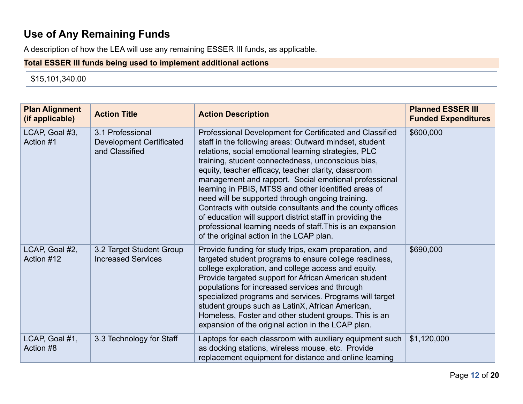# **Use of Any Remaining Funds**

A description of how the LEA will use any remaining ESSER III funds, as applicable.

### **Total ESSER III funds being used to implement additional actions**

\$15,101,340.00

| <b>Plan Alignment</b><br>(if applicable) | <b>Action Title</b>                                                   | <b>Action Description</b>                                                                                                                                                                                                                                                                                                                                                                                                                                                                                                                                                                                                                                                                         | <b>Planned ESSER III</b><br><b>Funded Expenditures</b> |
|------------------------------------------|-----------------------------------------------------------------------|---------------------------------------------------------------------------------------------------------------------------------------------------------------------------------------------------------------------------------------------------------------------------------------------------------------------------------------------------------------------------------------------------------------------------------------------------------------------------------------------------------------------------------------------------------------------------------------------------------------------------------------------------------------------------------------------------|--------------------------------------------------------|
| LCAP, Goal #3,<br>Action #1              | 3.1 Professional<br><b>Development Certificated</b><br>and Classified | Professional Development for Certificated and Classified<br>staff in the following areas: Outward mindset, student<br>relations, social emotional learning strategies, PLC<br>training, student connectedness, unconscious bias,<br>equity, teacher efficacy, teacher clarity, classroom<br>management and rapport. Social emotional professional<br>learning in PBIS, MTSS and other identified areas of<br>need will be supported through ongoing training.<br>Contracts with outside consultants and the county offices<br>of education will support district staff in providing the<br>professional learning needs of staff. This is an expansion<br>of the original action in the LCAP plan. | \$600,000                                              |
| LCAP, Goal #2,<br>Action #12             | 3.2 Target Student Group<br><b>Increased Services</b>                 | Provide funding for study trips, exam preparation, and<br>targeted student programs to ensure college readiness,<br>college exploration, and college access and equity.<br>Provide targeted support for African American student<br>populations for increased services and through<br>specialized programs and services. Programs will target<br>student groups such as LatinX, African American,<br>Homeless, Foster and other student groups. This is an<br>expansion of the original action in the LCAP plan.                                                                                                                                                                                  | \$690,000                                              |
| LCAP, Goal #1,<br>Action #8              | 3.3 Technology for Staff                                              | Laptops for each classroom with auxiliary equipment such<br>as docking stations, wireless mouse, etc. Provide<br>replacement equipment for distance and online learning                                                                                                                                                                                                                                                                                                                                                                                                                                                                                                                           | \$1,120,000                                            |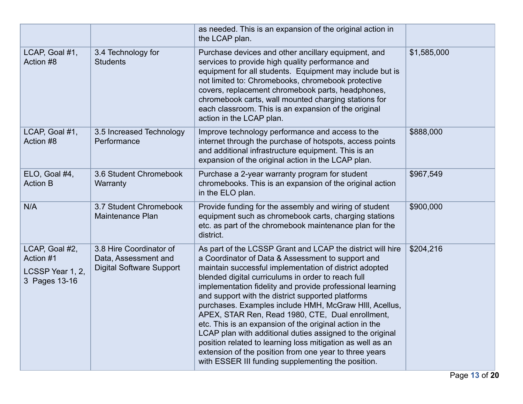|                                                                  |                                                                                    | as needed. This is an expansion of the original action in<br>the LCAP plan.                                                                                                                                                                                                                                                                                                                                                                                                                                                                                                                                                                                                                                                                                           |             |
|------------------------------------------------------------------|------------------------------------------------------------------------------------|-----------------------------------------------------------------------------------------------------------------------------------------------------------------------------------------------------------------------------------------------------------------------------------------------------------------------------------------------------------------------------------------------------------------------------------------------------------------------------------------------------------------------------------------------------------------------------------------------------------------------------------------------------------------------------------------------------------------------------------------------------------------------|-------------|
| LCAP, Goal #1,<br>Action #8                                      | 3.4 Technology for<br><b>Students</b>                                              | Purchase devices and other ancillary equipment, and<br>services to provide high quality performance and<br>equipment for all students. Equipment may include but is<br>not limited to: Chromebooks, chromebook protective<br>covers, replacement chromebook parts, headphones,<br>chromebook carts, wall mounted charging stations for<br>each classroom. This is an expansion of the original<br>action in the LCAP plan.                                                                                                                                                                                                                                                                                                                                            | \$1,585,000 |
| LCAP, Goal #1,<br>Action #8                                      | 3.5 Increased Technology<br>Performance                                            | Improve technology performance and access to the<br>internet through the purchase of hotspots, access points<br>and additional infrastructure equipment. This is an<br>expansion of the original action in the LCAP plan.                                                                                                                                                                                                                                                                                                                                                                                                                                                                                                                                             | \$888,000   |
| ELO, Goal #4,<br><b>Action B</b>                                 | 3.6 Student Chromebook<br>Warranty                                                 | Purchase a 2-year warranty program for student<br>chromebooks. This is an expansion of the original action<br>in the ELO plan.                                                                                                                                                                                                                                                                                                                                                                                                                                                                                                                                                                                                                                        | \$967,549   |
| N/A                                                              | 3.7 Student Chromebook<br><b>Maintenance Plan</b>                                  | Provide funding for the assembly and wiring of student<br>equipment such as chromebook carts, charging stations<br>etc. as part of the chromebook maintenance plan for the<br>district.                                                                                                                                                                                                                                                                                                                                                                                                                                                                                                                                                                               | \$900,000   |
| LCAP, Goal #2,<br>Action #1<br>LCSSP Year 1, 2,<br>3 Pages 13-16 | 3.8 Hire Coordinator of<br>Data, Assessment and<br><b>Digital Software Support</b> | As part of the LCSSP Grant and LCAP the district will hire<br>a Coordinator of Data & Assessment to support and<br>maintain successful implementation of district adopted<br>blended digital curriculums in order to reach full<br>implementation fidelity and provide professional learning<br>and support with the district supported platforms<br>purchases. Examples include HMH, McGraw HIII, Acellus,<br>APEX, STAR Ren, Read 1980, CTE, Dual enrollment,<br>etc. This is an expansion of the original action in the<br>LCAP plan with additional duties assigned to the original<br>position related to learning loss mitigation as well as an<br>extension of the position from one year to three years<br>with ESSER III funding supplementing the position. | \$204,216   |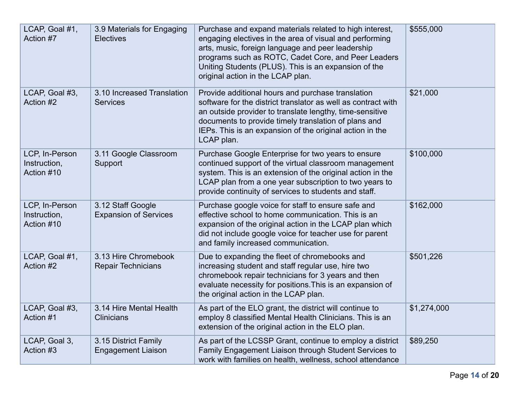| LCAP, Goal #1,<br>Action #7                  | 3.9 Materials for Engaging<br><b>Electives</b>    | Purchase and expand materials related to high interest,<br>engaging electives in the area of visual and performing<br>arts, music, foreign language and peer leadership<br>programs such as ROTC, Cadet Core, and Peer Leaders<br>Uniting Students (PLUS). This is an expansion of the<br>original action in the LCAP plan. | \$555,000   |
|----------------------------------------------|---------------------------------------------------|-----------------------------------------------------------------------------------------------------------------------------------------------------------------------------------------------------------------------------------------------------------------------------------------------------------------------------|-------------|
| LCAP, Goal #3,<br>Action #2                  | 3.10 Increased Translation<br><b>Services</b>     | Provide additional hours and purchase translation<br>software for the district translator as well as contract with<br>an outside provider to translate lengthy, time-sensitive<br>documents to provide timely translation of plans and<br>IEPs. This is an expansion of the original action in the<br>LCAP plan.            | \$21,000    |
| LCP, In-Person<br>Instruction,<br>Action #10 | 3.11 Google Classroom<br>Support                  | Purchase Google Enterprise for two years to ensure<br>continued support of the virtual classroom management<br>system. This is an extension of the original action in the<br>LCAP plan from a one year subscription to two years to<br>provide continuity of services to students and staff.                                | \$100,000   |
| LCP, In-Person<br>Instruction,<br>Action #10 | 3.12 Staff Google<br><b>Expansion of Services</b> | Purchase google voice for staff to ensure safe and<br>effective school to home communication. This is an<br>expansion of the original action in the LCAP plan which<br>did not include google voice for teacher use for parent<br>and family increased communication.                                                       | \$162,000   |
| LCAP, Goal #1,<br>Action #2                  | 3.13 Hire Chromebook<br><b>Repair Technicians</b> | Due to expanding the fleet of chromebooks and<br>increasing student and staff regular use, hire two<br>chromebook repair technicians for 3 years and then<br>evaluate necessity for positions. This is an expansion of<br>the original action in the LCAP plan.                                                             | \$501,226   |
| LCAP, Goal #3,<br>Action #1                  | 3.14 Hire Mental Health<br><b>Clinicians</b>      | As part of the ELO grant, the district will continue to<br>employ 8 classified Mental Health Clinicians. This is an<br>extension of the original action in the ELO plan.                                                                                                                                                    | \$1,274,000 |
| LCAP, Goal 3,<br>Action #3                   | 3.15 District Family<br><b>Engagement Liaison</b> | As part of the LCSSP Grant, continue to employ a district<br>Family Engagement Liaison through Student Services to<br>work with families on health, wellness, school attendance                                                                                                                                             | \$89,250    |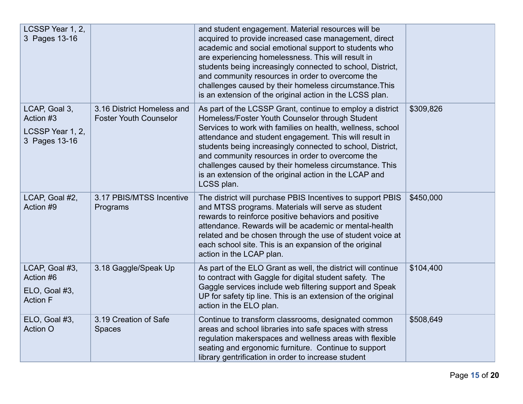| LCSSP Year 1, 2,<br>3 Pages 13-16                               |                                                             | and student engagement. Material resources will be<br>acquired to provide increased case management, direct<br>academic and social emotional support to students who<br>are experiencing homelessness. This will result in<br>students being increasingly connected to school, District,<br>and community resources in order to overcome the<br>challenges caused by their homeless circumstance. This<br>is an extension of the original action in the LCSS plan.                       |           |
|-----------------------------------------------------------------|-------------------------------------------------------------|------------------------------------------------------------------------------------------------------------------------------------------------------------------------------------------------------------------------------------------------------------------------------------------------------------------------------------------------------------------------------------------------------------------------------------------------------------------------------------------|-----------|
| LCAP, Goal 3,<br>Action #3<br>LCSSP Year 1, 2,<br>3 Pages 13-16 | 3.16 District Homeless and<br><b>Foster Youth Counselor</b> | As part of the LCSSP Grant, continue to employ a district<br>Homeless/Foster Youth Counselor through Student<br>Services to work with families on health, wellness, school<br>attendance and student engagement. This will result in<br>students being increasingly connected to school, District,<br>and community resources in order to overcome the<br>challenges caused by their homeless circumstance. This<br>is an extension of the original action in the LCAP and<br>LCSS plan. | \$309,826 |
| LCAP, Goal #2,<br>Action #9                                     | 3.17 PBIS/MTSS Incentive<br>Programs                        | The district will purchase PBIS Incentives to support PBIS<br>and MTSS programs. Materials will serve as student<br>rewards to reinforce positive behaviors and positive<br>attendance. Rewards will be academic or mental-health<br>related and be chosen through the use of student voice at<br>each school site. This is an expansion of the original<br>action in the LCAP plan.                                                                                                     | \$450,000 |
| LCAP, Goal #3,<br>Action #6<br>ELO, Goal #3,<br><b>Action F</b> | 3.18 Gaggle/Speak Up                                        | As part of the ELO Grant as well, the district will continue<br>to contract with Gaggle for digital student safety. The<br>Gaggle services include web filtering support and Speak<br>UP for safety tip line. This is an extension of the original<br>action in the ELO plan.                                                                                                                                                                                                            | \$104,400 |
| ELO, Goal #3,<br><b>Action O</b>                                | 3.19 Creation of Safe<br><b>Spaces</b>                      | Continue to transform classrooms, designated common<br>areas and school libraries into safe spaces with stress<br>regulation makerspaces and wellness areas with flexible<br>seating and ergonomic furniture. Continue to support<br>library gentrification in order to increase student                                                                                                                                                                                                 | \$508,649 |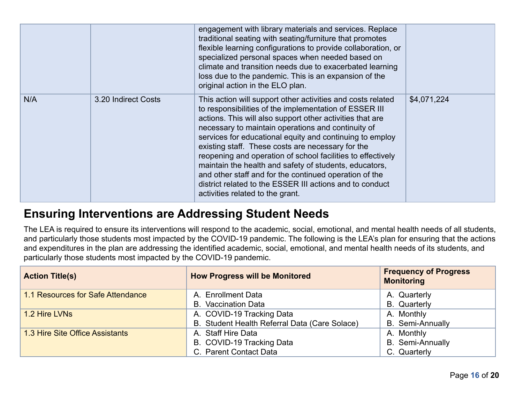|     |                     | engagement with library materials and services. Replace<br>traditional seating with seating/furniture that promotes<br>flexible learning configurations to provide collaboration, or<br>specialized personal spaces when needed based on<br>climate and transition needs due to exacerbated learning<br>loss due to the pandemic. This is an expansion of the<br>original action in the ELO plan.                                                                                                                                                                                                                                            |             |
|-----|---------------------|----------------------------------------------------------------------------------------------------------------------------------------------------------------------------------------------------------------------------------------------------------------------------------------------------------------------------------------------------------------------------------------------------------------------------------------------------------------------------------------------------------------------------------------------------------------------------------------------------------------------------------------------|-------------|
| N/A | 3.20 Indirect Costs | This action will support other activities and costs related<br>to responsibilities of the implementation of ESSER III<br>actions. This will also support other activities that are<br>necessary to maintain operations and continuity of<br>services for educational equity and continuing to employ<br>existing staff. These costs are necessary for the<br>reopening and operation of school facilities to effectively<br>maintain the health and safety of students, educators,<br>and other staff and for the continued operation of the<br>district related to the ESSER III actions and to conduct<br>activities related to the grant. | \$4,071,224 |

# **Ensuring Interventions are Addressing Student Needs**

The LEA is required to ensure its interventions will respond to the academic, social, emotional, and mental health needs of all students, and particularly those students most impacted by the COVID-19 pandemic. The following is the LEA's plan for ensuring that the actions and expenditures in the plan are addressing the identified academic, social, emotional, and mental health needs of its students, and particularly those students most impacted by the COVID-19 pandemic.

| <b>Action Title(s)</b>            | <b>How Progress will be Monitored</b>         | <b>Frequency of Progress</b><br><b>Monitoring</b> |
|-----------------------------------|-----------------------------------------------|---------------------------------------------------|
| 1.1 Resources for Safe Attendance | A. Enrollment Data                            | A. Quarterly                                      |
|                                   | <b>B.</b> Vaccination Data                    | <b>B.</b> Quarterly                               |
| 1.2 Hire LVNs                     | A. COVID-19 Tracking Data                     | A. Monthly                                        |
|                                   | B. Student Health Referral Data (Care Solace) | <b>B.</b> Semi-Annually                           |
| 1.3 Hire Site Office Assistants   | A. Staff Hire Data                            | A. Monthly                                        |
|                                   | B. COVID-19 Tracking Data                     | <b>B.</b> Semi-Annually                           |
|                                   | C. Parent Contact Data                        | C. Quarterly                                      |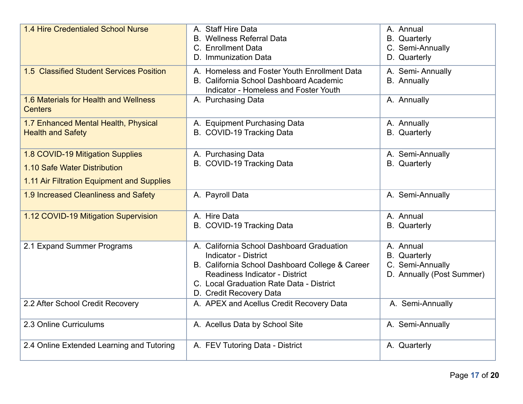| 1.4 Hire Credentialed School Nurse                                                                             | A. Staff Hire Data<br><b>B.</b> Wellness Referral Data<br>C. Enrollment Data<br>D. Immunization Data                                                                                                                                        | A. Annual<br><b>B.</b> Quarterly<br>C. Semi-Annually<br>D. Quarterly              |
|----------------------------------------------------------------------------------------------------------------|---------------------------------------------------------------------------------------------------------------------------------------------------------------------------------------------------------------------------------------------|-----------------------------------------------------------------------------------|
| 1.5 Classified Student Services Position                                                                       | A. Homeless and Foster Youth Enrollment Data<br>B. California School Dashboard Academic<br><b>Indicator - Homeless and Foster Youth</b>                                                                                                     | A. Semi-Annually<br><b>B.</b> Annually                                            |
| 1.6 Materials for Health and Wellness<br><b>Centers</b>                                                        | A. Purchasing Data                                                                                                                                                                                                                          | A. Annually                                                                       |
| 1.7 Enhanced Mental Health, Physical<br><b>Health and Safety</b>                                               | A. Equipment Purchasing Data<br>B. COVID-19 Tracking Data                                                                                                                                                                                   | A. Annually<br><b>B.</b> Quarterly                                                |
| 1.8 COVID-19 Mitigation Supplies<br>1.10 Safe Water Distribution<br>1.11 Air Filtration Equipment and Supplies | A. Purchasing Data<br>B. COVID-19 Tracking Data                                                                                                                                                                                             | A. Semi-Annually<br><b>B.</b> Quarterly                                           |
| 1.9 Increased Cleanliness and Safety                                                                           | A. Payroll Data                                                                                                                                                                                                                             | A. Semi-Annually                                                                  |
| 1.12 COVID-19 Mitigation Supervision                                                                           | A. Hire Data<br>B. COVID-19 Tracking Data                                                                                                                                                                                                   | A. Annual<br><b>B.</b> Quarterly                                                  |
| 2.1 Expand Summer Programs                                                                                     | A. California School Dashboard Graduation<br><b>Indicator - District</b><br>B. California School Dashboard College & Career<br><b>Readiness Indicator - District</b><br>C. Local Graduation Rate Data - District<br>D. Credit Recovery Data | A. Annual<br><b>B.</b> Quarterly<br>C. Semi-Annually<br>D. Annually (Post Summer) |
| 2.2 After School Credit Recovery                                                                               | A. APEX and Acellus Credit Recovery Data                                                                                                                                                                                                    | A. Semi-Annually                                                                  |
| 2.3 Online Curriculums                                                                                         | A. Acellus Data by School Site                                                                                                                                                                                                              | A. Semi-Annually                                                                  |
| 2.4 Online Extended Learning and Tutoring                                                                      | A. FEV Tutoring Data - District                                                                                                                                                                                                             | A. Quarterly                                                                      |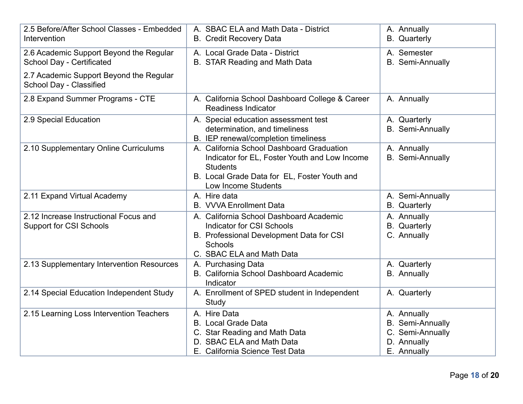| 2.5 Before/After School Classes - Embedded<br>Intervention              | A. SBAC ELA and Math Data - District<br><b>B.</b> Credit Recovery Data                                                                                                               | A. Annually<br><b>B.</b> Quarterly                                                       |
|-------------------------------------------------------------------------|--------------------------------------------------------------------------------------------------------------------------------------------------------------------------------------|------------------------------------------------------------------------------------------|
| 2.6 Academic Support Beyond the Regular<br>School Day - Certificated    | A. Local Grade Data - District<br>B. STAR Reading and Math Data                                                                                                                      | A. Semester<br><b>B.</b> Semi-Annually                                                   |
| 2.7 Academic Support Beyond the Regular<br>School Day - Classified      |                                                                                                                                                                                      |                                                                                          |
| 2.8 Expand Summer Programs - CTE                                        | A. California School Dashboard College & Career<br><b>Readiness Indicator</b>                                                                                                        | A. Annually                                                                              |
| 2.9 Special Education                                                   | A. Special education assessment test<br>determination, and timeliness<br>B. IEP renewal/completion timeliness                                                                        | A. Quarterly<br>B. Semi-Annually                                                         |
| 2.10 Supplementary Online Curriculums                                   | A. California School Dashboard Graduation<br>Indicator for EL, Foster Youth and Low Income<br><b>Students</b><br>B. Local Grade Data for EL, Foster Youth and<br>Low Income Students | A. Annually<br><b>B.</b> Semi-Annually                                                   |
| 2.11 Expand Virtual Academy                                             | A. Hire data<br><b>B.</b> VVVA Enrollment Data                                                                                                                                       | A. Semi-Annually<br><b>B.</b> Quarterly                                                  |
| 2.12 Increase Instructional Focus and<br><b>Support for CSI Schools</b> | A. California School Dashboard Academic<br><b>Indicator for CSI Schools</b><br>B. Professional Development Data for CSI<br><b>Schools</b><br>C. SBAC ELA and Math Data               | A. Annually<br><b>B.</b> Quarterly<br>C. Annually                                        |
| 2.13 Supplementary Intervention Resources                               | A. Purchasing Data<br>B. California School Dashboard Academic<br>Indicator                                                                                                           | A. Quarterly<br><b>B.</b> Annually                                                       |
| 2.14 Special Education Independent Study                                | A. Enrollment of SPED student in Independent<br>Study                                                                                                                                | A. Quarterly                                                                             |
| 2.15 Learning Loss Intervention Teachers                                | A. Hire Data<br><b>B.</b> Local Grade Data<br>C. Star Reading and Math Data<br>D. SBAC ELA and Math Data<br>E. California Science Test Data                                          | A. Annually<br><b>B.</b> Semi-Annually<br>C. Semi-Annually<br>D. Annually<br>E. Annually |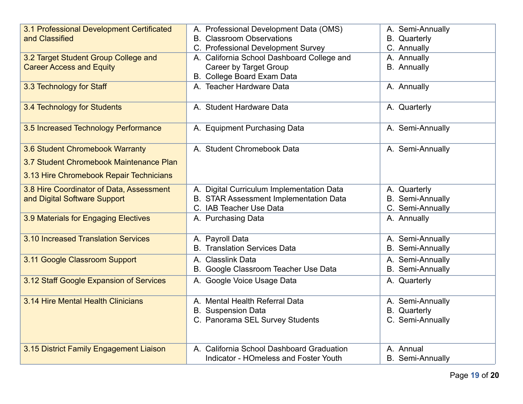| 3.1 Professional Development Certificated<br>and Classified              | A. Professional Development Data (OMS)<br><b>B.</b> Classroom Observations<br>C. Professional Development Survey | A. Semi-Annually<br><b>B.</b> Quarterly<br>C. Annually      |
|--------------------------------------------------------------------------|------------------------------------------------------------------------------------------------------------------|-------------------------------------------------------------|
| 3.2 Target Student Group College and<br><b>Career Access and Equity</b>  | A. California School Dashboard College and<br>Career by Target Group<br>B. College Board Exam Data               | A. Annually<br><b>B.</b> Annually                           |
| 3.3 Technology for Staff                                                 | A. Teacher Hardware Data                                                                                         | A. Annually                                                 |
| 3.4 Technology for Students                                              | A. Student Hardware Data                                                                                         | A. Quarterly                                                |
| 3.5 Increased Technology Performance                                     | A. Equipment Purchasing Data                                                                                     | A. Semi-Annually                                            |
| 3.6 Student Chromebook Warranty                                          | A. Student Chromebook Data                                                                                       | A. Semi-Annually                                            |
| 3.7 Student Chromebook Maintenance Plan                                  |                                                                                                                  |                                                             |
| 3.13 Hire Chromebook Repair Technicians                                  |                                                                                                                  |                                                             |
| 3.8 Hire Coordinator of Data, Assessment<br>and Digital Software Support | A. Digital Curriculum Implementation Data<br>B. STAR Assessment Implementation Data<br>C. IAB Teacher Use Data   | A. Quarterly<br><b>B.</b> Semi-Annually<br>C. Semi-Annually |
| 3.9 Materials for Engaging Electives                                     | A. Purchasing Data                                                                                               | A. Annually                                                 |
| 3.10 Increased Translation Services                                      | A. Payroll Data<br><b>B.</b> Translation Services Data                                                           | A. Semi-Annually<br><b>B.</b> Semi-Annually                 |
| 3.11 Google Classroom Support                                            | A. Classlink Data<br>B. Google Classroom Teacher Use Data                                                        | A. Semi-Annually<br><b>B.</b> Semi-Annually                 |
| 3.12 Staff Google Expansion of Services                                  | A. Google Voice Usage Data                                                                                       | A. Quarterly                                                |
| 3.14 Hire Mental Health Clinicians                                       | A. Mental Health Referral Data<br><b>B.</b> Suspension Data<br>C. Panorama SEL Survey Students                   | A. Semi-Annually<br><b>B.</b> Quarterly<br>C. Semi-Annually |
| 3.15 District Family Engagement Liaison                                  | A. California School Dashboard Graduation<br><b>Indicator - HOmeless and Foster Youth</b>                        | A. Annual<br><b>B.</b> Semi-Annually                        |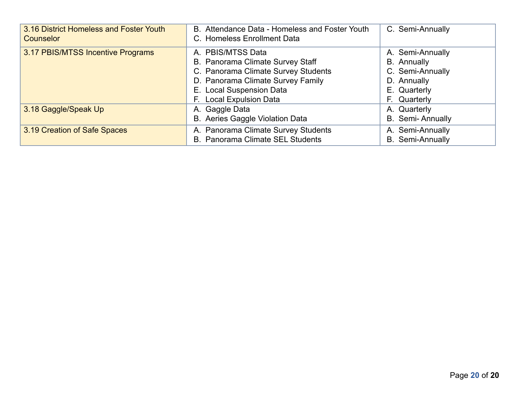| 3.16 District Homeless and Foster Youth<br><b>Counselor</b> | B. Attendance Data - Homeless and Foster Youth<br>C. Homeless Enrollment Data                                                                                                            | C. Semi-Annually                                                                                          |
|-------------------------------------------------------------|------------------------------------------------------------------------------------------------------------------------------------------------------------------------------------------|-----------------------------------------------------------------------------------------------------------|
| 3.17 PBIS/MTSS Incentive Programs                           | A. PBIS/MTSS Data<br>B. Panorama Climate Survey Staff<br>C. Panorama Climate Survey Students<br>D. Panorama Climate Survey Family<br>E. Local Suspension Data<br>F. Local Expulsion Data | A. Semi-Annually<br><b>B.</b> Annually<br>C. Semi-Annually<br>D. Annually<br>E. Quarterly<br>F. Quarterly |
| 3.18 Gaggle/Speak Up                                        | A. Gaggle Data<br>B. Aeries Gaggle Violation Data                                                                                                                                        | A. Quarterly<br><b>B.</b> Semi-Annually                                                                   |
| 3.19 Creation of Safe Spaces                                | A. Panorama Climate Survey Students<br>B. Panorama Climate SEL Students                                                                                                                  | A. Semi-Annually<br><b>B.</b> Semi-Annually                                                               |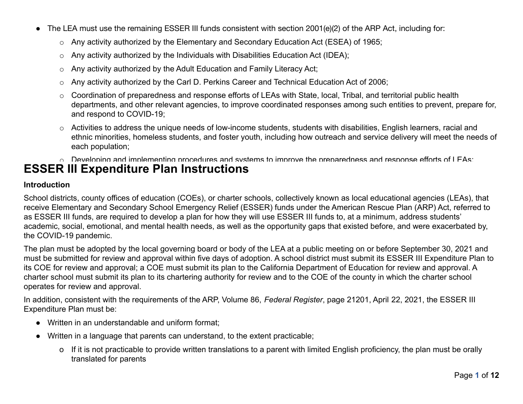- The LEA must use the remaining ESSER III funds consistent with section 2001(e)(2) of the ARP Act, including for:
	- o Any activity authorized by the Elementary and Secondary Education Act (ESEA) of 1965;
	- o Any activity authorized by the Individuals with Disabilities Education Act (IDEA);
	- o Any activity authorized by the Adult Education and Family Literacy Act;
	- o Any activity authorized by the Carl D. Perkins Career and Technical Education Act of 2006;
	- o Coordination of preparedness and response efforts of LEAs with State, local, Tribal, and territorial public health departments, and other relevant agencies, to improve coordinated responses among such entities to prevent, prepare for, and respond to COVID-19;
	- o Activities to address the unique needs of low-income students, students with disabilities, English learners, racial and ethnic minorities, homeless students, and foster youth, including how outreach and service delivery will meet the needs of each population;
	- $\circ$  Developing and implementing procedures and systems to improve the preparedness and response efforts of LEAs;

# **ESSER III Expenditure Plan Instructions**

#### **Introduction**

School districts, county offices of education (COEs), or charter schools, collectively known as local educational agencies (LEAs), that receive Elementary and Secondary School Emergency Relief (ESSER) funds under the American Rescue Plan (ARP) Act, referred to as ESSER III funds, are required to develop a plan for how they will use ESSER III funds to, at a minimum, address students' academic, social, emotional, and mental health needs, as well as the opportunity gaps that existed before, and were exacerbated by, the COVID-19 pandemic.

The plan must be adopted by the local governing board or body of the LEA at a public meeting on or before September 30, 2021 and must be submitted for review and approval within five days of adoption. A school district must submit its ESSER III Expenditure Plan to its COE for review and approval; a COE must submit its plan to the California Department of Education for review and approval. A charter school must submit its plan to its chartering authority for review and to the COE of the county in which the charter school operates for review and approval.

In addition, consistent with the requirements of the ARP, Volume 86, *Federal Register*, page 21201, April 22, 2021, the ESSER III Expenditure Plan must be:

- Written in an understandable and uniform format;
- Written in a language that parents can understand, to the extent practicable;
	- o If it is not practicable to provide written translations to a parent with limited English proficiency, the plan must be orally translated for parents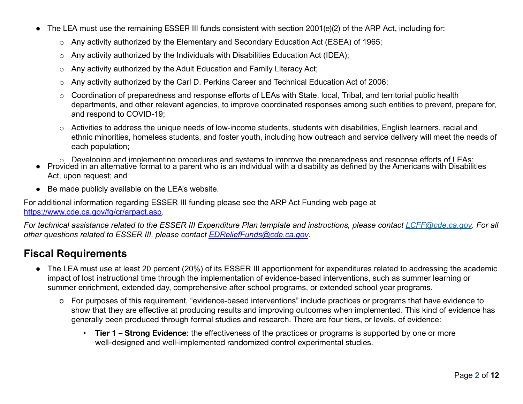- The LEA must use the remaining ESSER III funds consistent with section 2001(e)(2) of the ARP Act, including for:
	- o Any activity authorized by the Elementary and Secondary Education Act (ESEA) of 1965;
	- o Any activity authorized by the Individuals with Disabilities Education Act (IDEA);
	- o Any activity authorized by the Adult Education and Family Literacy Act;
	- o Any activity authorized by the Carl D. Perkins Career and Technical Education Act of 2006;
	- o Coordination of preparedness and response efforts of LEAs with State, local, Tribal, and territorial public health departments, and other relevant agencies, to improve coordinated responses among such entities to prevent, prepare for, and respond to COVID-19;
	- o Activities to address the unique needs of low-income students, students with disabilities, English learners, racial and ethnic minorities, homeless students, and foster youth, including how outreach and service delivery will meet the needs of each population;
	- $\circ$  Developing and implementing procedures and systems to improve the preparedness and response efforts of LEAs;
- Provided in an alternative format to a parent who is an individual with a disability as defined by the Americans with Disabilities Act, upon request; and
- Be made publicly available on the LEA's website.

For additional information regarding ESSER III funding please see the ARP Act Funding web page at [https://www.cde.ca.gov/fg/cr/arpact.asp.](https://www.cde.ca.gov/fg/cr/arpact.asp)

*For technical assistance related to the ESSER III Expenditure Plan template and instructions, please contact [LCFF@cde.ca.gov.](mailto:LCFF@cde.ca.gov)* For all *other questions related to ESSER III, please contact [EDReliefFunds@cde.ca.gov](mailto:EDReliefFunds@cde.ca.gov).*

### **Fiscal Requirements**

- The LEA must use at least 20 percent (20%) of its ESSER III apportionment for expenditures related to addressing the academic impact of lost instructional time through the implementation of evidence-based interventions, such as summer learning or summer enrichment, extended day, comprehensive after school programs, or extended school year programs.
	- o For purposes of this requirement, "evidence-based interventions" include practices or programs that have evidence to show that they are effective at producing results and improving outcomes when implemented. This kind of evidence has generally been produced through formal studies and research. There are four tiers, or levels, of evidence:
		- **Tier 1 Strong Evidence**: the effectiveness of the practices or programs is supported by one or more well-designed and well-implemented randomized control experimental studies.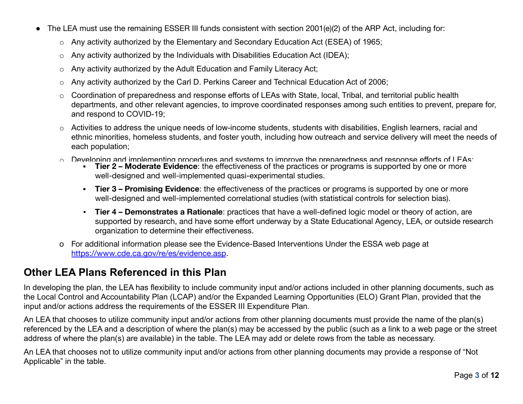- The LEA must use the remaining ESSER III funds consistent with section 2001(e)(2) of the ARP Act, including for:
	- o Any activity authorized by the Elementary and Secondary Education Act (ESEA) of 1965;
	- $\circ$  Any activity authorized by the Individuals with Disabilities Education Act (IDEA);
	- o Any activity authorized by the Adult Education and Family Literacy Act;
	- o Any activity authorized by the Carl D. Perkins Career and Technical Education Act of 2006;
	- o Coordination of preparedness and response efforts of LEAs with State, local, Tribal, and territorial public health departments, and other relevant agencies, to improve coordinated responses among such entities to prevent, prepare for, and respond to COVID-19;
	- o Activities to address the unique needs of low-income students, students with disabilities, English learners, racial and ethnic minorities, homeless students, and foster youth, including how outreach and service delivery will meet the needs of each population;
	- $\circ$  Developing and implementing procedures and systems to improve the preparedness and response efforts of LEAs;
		- **Tier 2 Moderate Evidence**: the effectiveness of the practices or programs is supported by one or more well-designed and well-implemented quasi-experimental studies.
		- **Tier 3 Promising Evidence**: the effectiveness of the practices or programs is supported by one or more well-designed and well-implemented correlational studies (with statistical controls for selection bias).
		- **Tier 4 Demonstrates a Rationale**: practices that have a well-defined logic model or theory of action, are supported by research, and have some effort underway by a State Educational Agency, LEA, or outside research organization to determine their effectiveness.
	- o For additional information please see the Evidence-Based Interventions Under the ESSA web page at <https://www.cde.ca.gov/re/es/evidence.asp>.

### **Other LEA Plans Referenced in this Plan**

In developing the plan, the LEA has flexibility to include community input and/or actions included in other planning documents, such as the Local Control and Accountability Plan (LCAP) and/or the Expanded Learning Opportunities (ELO) Grant Plan, provided that the input and/or actions address the requirements of the ESSER III Expenditure Plan.

An LEA that chooses to utilize community input and/or actions from other planning documents must provide the name of the plan(s) referenced by the LEA and a description of where the plan(s) may be accessed by the public (such as a link to a web page or the street address of where the plan(s) are available) in the table. The LEA may add or delete rows from the table as necessary.

An LEA that chooses not to utilize community input and/or actions from other planning documents may provide a response of "Not Applicable" in the table.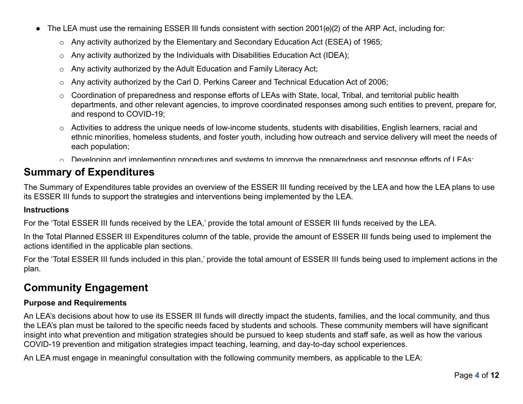- The LEA must use the remaining ESSER III funds consistent with section 2001(e)(2) of the ARP Act, including for:
	- o Any activity authorized by the Elementary and Secondary Education Act (ESEA) of 1965;
	- $\circ$  Any activity authorized by the Individuals with Disabilities Education Act (IDEA);
	- o Any activity authorized by the Adult Education and Family Literacy Act;
	- o Any activity authorized by the Carl D. Perkins Career and Technical Education Act of 2006;
	- o Coordination of preparedness and response efforts of LEAs with State, local, Tribal, and territorial public health departments, and other relevant agencies, to improve coordinated responses among such entities to prevent, prepare for, and respond to COVID-19;
	- o Activities to address the unique needs of low-income students, students with disabilities, English learners, racial and ethnic minorities, homeless students, and foster youth, including how outreach and service delivery will meet the needs of each population;
	- $\circ$  Developing and implementing procedures and systems to improve the preparedness and response efforts of LEAs;

### **Summary of Expenditures**

The Summary of Expenditures table provides an overview of the ESSER III funding received by the LEA and how the LEA plans to use its ESSER III funds to support the strategies and interventions being implemented by the LEA.

### **Instructions**

For the 'Total ESSER III funds received by the LEA,' provide the total amount of ESSER III funds received by the LEA.

In the Total Planned ESSER III Expenditures column of the table, provide the amount of ESSER III funds being used to implement the actions identified in the applicable plan sections.

For the 'Total ESSER III funds included in this plan,' provide the total amount of ESSER III funds being used to implement actions in the plan.

### **Community Engagement**

### **Purpose and Requirements**

An LEA's decisions about how to use its ESSER III funds will directly impact the students, families, and the local community, and thus the LEA's plan must be tailored to the specific needs faced by students and schools. These community members will have significant insight into what prevention and mitigation strategies should be pursued to keep students and staff safe, as well as how the various COVID-19 prevention and mitigation strategies impact teaching, learning, and day-to-day school experiences.

An LEA must engage in meaningful consultation with the following community members, as applicable to the LEA: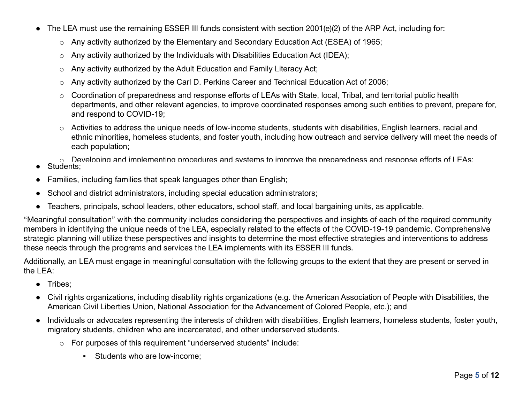- The LEA must use the remaining ESSER III funds consistent with section 2001(e)(2) of the ARP Act, including for:
	- o Any activity authorized by the Elementary and Secondary Education Act (ESEA) of 1965;
	- $\circ$  Any activity authorized by the Individuals with Disabilities Education Act (IDEA);
	- o Any activity authorized by the Adult Education and Family Literacy Act;
	- o Any activity authorized by the Carl D. Perkins Career and Technical Education Act of 2006;
	- o Coordination of preparedness and response efforts of LEAs with State, local, Tribal, and territorial public health departments, and other relevant agencies, to improve coordinated responses among such entities to prevent, prepare for, and respond to COVID-19;
	- o Activities to address the unique needs of low-income students, students with disabilities, English learners, racial and ethnic minorities, homeless students, and foster youth, including how outreach and service delivery will meet the needs of each population;
	- $\circ$  Developing and implementing procedures and systems to improve the preparedness and response efforts of LEAs;
- Students:
- Families, including families that speak languages other than English;
- School and district administrators, including special education administrators;
- Teachers, principals, school leaders, other educators, school staff, and local bargaining units, as applicable.

"Meaningful consultation" with the community includes considering the perspectives and insights of each of the required community members in identifying the unique needs of the LEA, especially related to the effects of the COVID-19-19 pandemic. Comprehensive strategic planning will utilize these perspectives and insights to determine the most effective strategies and interventions to address these needs through the programs and services the LEA implements with its ESSER III funds.

Additionally, an LEA must engage in meaningful consultation with the following groups to the extent that they are present or served in the LEA:

- Tribes;
- Civil rights organizations, including disability rights organizations (e.g. the American Association of People with Disabilities, the American Civil Liberties Union, National Association for the Advancement of Colored People, etc.); and
- Individuals or advocates representing the interests of children with disabilities, English learners, homeless students, foster youth, migratory students, children who are incarcerated, and other underserved students.
	- o For purposes of this requirement "underserved students" include:
		- **EXECUTE:** Students who are low-income: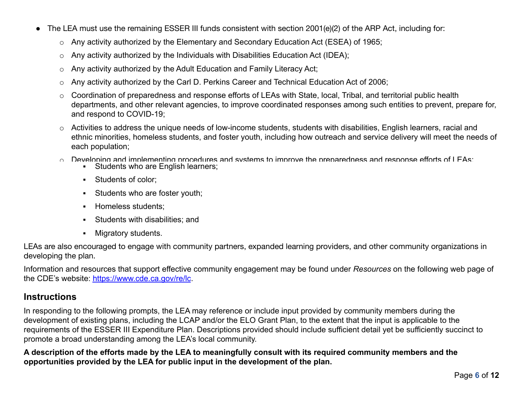- The LEA must use the remaining ESSER III funds consistent with section 2001(e)(2) of the ARP Act, including for:
	- o Any activity authorized by the Elementary and Secondary Education Act (ESEA) of 1965;
	- o Any activity authorized by the Individuals with Disabilities Education Act (IDEA);
	- o Any activity authorized by the Adult Education and Family Literacy Act;
	- o Any activity authorized by the Carl D. Perkins Career and Technical Education Act of 2006;
	- o Coordination of preparedness and response efforts of LEAs with State, local, Tribal, and territorial public health departments, and other relevant agencies, to improve coordinated responses among such entities to prevent, prepare for, and respond to COVID-19;
	- o Activities to address the unique needs of low-income students, students with disabilities, English learners, racial and ethnic minorities, homeless students, and foster youth, including how outreach and service delivery will meet the needs of each population;
	- $\circ$  Developing and implementing procedures and systems to improve the preparedness and response efforts of LEAs;
		- **EXEC** Students who are English learners;
		- Students of color;
		- **EXECUTE:** Students who are foster youth;
		- Homeless students;
		- Students with disabilities; and
		- Migratory students.

LEAs are also encouraged to engage with community partners, expanded learning providers, and other community organizations in developing the plan.

Information and resources that support effective community engagement may be found under *Resources* on the following web page of the CDE's website: <https://www.cde.ca.gov/re/lc>.

### **Instructions**

In responding to the following prompts, the LEA may reference or include input provided by community members during the development of existing plans, including the LCAP and/or the ELO Grant Plan, to the extent that the input is applicable to the requirements of the ESSER III Expenditure Plan. Descriptions provided should include sufficient detail yet be sufficiently succinct to promote a broad understanding among the LEA's local community.

**A description of the efforts made by the LEA to meaningfully consult with its required community members and the opportunities provided by the LEA for public input in the development of the plan.**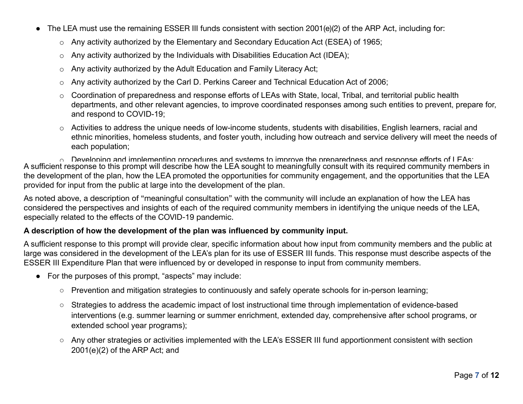- The LEA must use the remaining ESSER III funds consistent with section 2001(e)(2) of the ARP Act, including for:
	- o Any activity authorized by the Elementary and Secondary Education Act (ESEA) of 1965;
	- o Any activity authorized by the Individuals with Disabilities Education Act (IDEA);
	- o Any activity authorized by the Adult Education and Family Literacy Act;
	- o Any activity authorized by the Carl D. Perkins Career and Technical Education Act of 2006;
	- o Coordination of preparedness and response efforts of LEAs with State, local, Tribal, and territorial public health departments, and other relevant agencies, to improve coordinated responses among such entities to prevent, prepare for, and respond to COVID-19;
	- o Activities to address the unique needs of low-income students, students with disabilities, English learners, racial and ethnic minorities, homeless students, and foster youth, including how outreach and service delivery will meet the needs of each population;

 $\circ$  Developing and implementing procedures and systems to improve the preparedness and response efforts of LEAs; A sufficient response to this prompt will describe how the LEA sought to meaningfully consult with its required community members in the development of the plan, how the LEA promoted the opportunities for community engagement, and the opportunities that the LEA provided for input from the public at large into the development of the plan.

As noted above, a description of "meaningful consultation" with the community will include an explanation of how the LEA has considered the perspectives and insights of each of the required community members in identifying the unique needs of the LEA, especially related to the effects of the COVID-19 pandemic.

### **A description of how the development of the plan was influenced by community input.**

A sufficient response to this prompt will provide clear, specific information about how input from community members and the public at large was considered in the development of the LEA's plan for its use of ESSER III funds. This response must describe aspects of the ESSER III Expenditure Plan that were influenced by or developed in response to input from community members.

- For the purposes of this prompt, "aspects" may include:
	- Prevention and mitigation strategies to continuously and safely operate schools for in-person learning;
	- Strategies to address the academic impact of lost instructional time through implementation of evidence-based interventions (e.g. summer learning or summer enrichment, extended day, comprehensive after school programs, or extended school year programs);
	- Any other strategies or activities implemented with the LEA's ESSER III fund apportionment consistent with section 2001(e)(2) of the ARP Act; and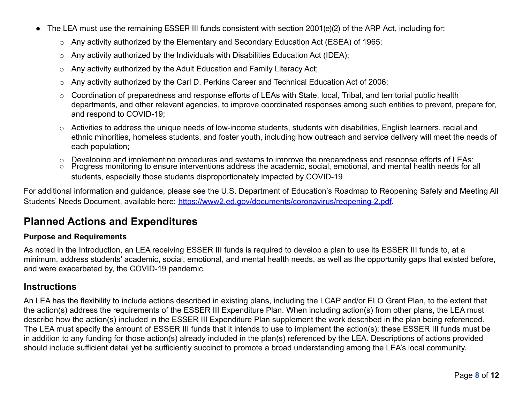- The LEA must use the remaining ESSER III funds consistent with section 2001(e)(2) of the ARP Act, including for:
	- o Any activity authorized by the Elementary and Secondary Education Act (ESEA) of 1965;
	- o Any activity authorized by the Individuals with Disabilities Education Act (IDEA);
	- o Any activity authorized by the Adult Education and Family Literacy Act;
	- o Any activity authorized by the Carl D. Perkins Career and Technical Education Act of 2006;
	- o Coordination of preparedness and response efforts of LEAs with State, local, Tribal, and territorial public health departments, and other relevant agencies, to improve coordinated responses among such entities to prevent, prepare for, and respond to COVID-19;
	- o Activities to address the unique needs of low-income students, students with disabilities, English learners, racial and ethnic minorities, homeless students, and foster youth, including how outreach and service delivery will meet the needs of each population;
	- $\circ$  Developing and implementing procedures and systems to improve the preparedness and response efforts of LEAs;
	- Progress monitoring to ensure interventions address the academic, social, emotional, and mental health needs for all students, especially those students disproportionately impacted by COVID-19

For additional information and guidance, please see the U.S. Department of Education's Roadmap to Reopening Safely and Meeting All Students' Needs Document, available here: [https://www2.ed.gov/documents/coronavirus/reopening-2.pdf.](https://www2.ed.gov/documents/coronavirus/reopening-2.pdf)

### **Planned Actions and Expenditures**

#### **Purpose and Requirements**

As noted in the Introduction, an LEA receiving ESSER III funds is required to develop a plan to use its ESSER III funds to, at a minimum, address students' academic, social, emotional, and mental health needs, as well as the opportunity gaps that existed before, and were exacerbated by, the COVID-19 pandemic.

### **Instructions**

An LEA has the flexibility to include actions described in existing plans, including the LCAP and/or ELO Grant Plan, to the extent that the action(s) address the requirements of the ESSER III Expenditure Plan. When including action(s) from other plans, the LEA must describe how the action(s) included in the ESSER III Expenditure Plan supplement the work described in the plan being referenced. The LEA must specify the amount of ESSER III funds that it intends to use to implement the action(s); these ESSER III funds must be in addition to any funding for those action(s) already included in the plan(s) referenced by the LEA. Descriptions of actions provided should include sufficient detail yet be sufficiently succinct to promote a broad understanding among the LEA's local community.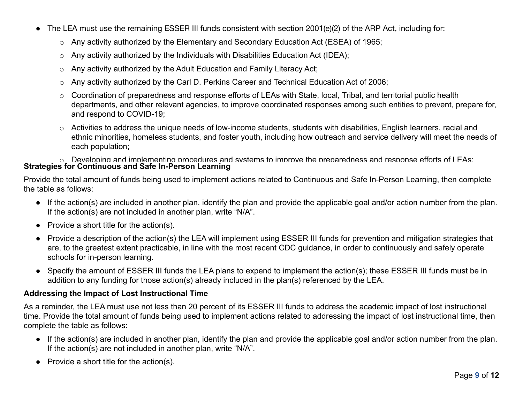- The LEA must use the remaining ESSER III funds consistent with section 2001(e)(2) of the ARP Act, including for:
	- o Any activity authorized by the Elementary and Secondary Education Act (ESEA) of 1965;
	- $\circ$  Any activity authorized by the Individuals with Disabilities Education Act (IDEA);
	- o Any activity authorized by the Adult Education and Family Literacy Act;
	- o Any activity authorized by the Carl D. Perkins Career and Technical Education Act of 2006;
	- o Coordination of preparedness and response efforts of LEAs with State, local, Tribal, and territorial public health departments, and other relevant agencies, to improve coordinated responses among such entities to prevent, prepare for, and respond to COVID-19;
	- o Activities to address the unique needs of low-income students, students with disabilities, English learners, racial and ethnic minorities, homeless students, and foster youth, including how outreach and service delivery will meet the needs of each population;

 $\circ$  Developing and implementing procedures and systems to improve the preparedness and response efforts of LEAs; **Strategies for Continuous and Safe In-Person Learning**

Provide the total amount of funds being used to implement actions related to Continuous and Safe In-Person Learning, then complete the table as follows:

- If the action(s) are included in another plan, identify the plan and provide the applicable goal and/or action number from the plan. If the action(s) are not included in another plan, write "N/A".
- $\bullet$  Provide a short title for the action(s).
- Provide a description of the action(s) the LEA will implement using ESSER III funds for prevention and mitigation strategies that are, to the greatest extent practicable, in line with the most recent CDC guidance, in order to continuously and safely operate schools for in-person learning.
- Specify the amount of ESSER III funds the LEA plans to expend to implement the action(s); these ESSER III funds must be in addition to any funding for those action(s) already included in the plan(s) referenced by the LEA.

#### **Addressing the Impact of Lost Instructional Time**

As a reminder, the LEA must use not less than 20 percent of its ESSER III funds to address the academic impact of lost instructional time. Provide the total amount of funds being used to implement actions related to addressing the impact of lost instructional time, then complete the table as follows:

- If the action(s) are included in another plan, identify the plan and provide the applicable goal and/or action number from the plan. If the action(s) are not included in another plan, write "N/A".
- $\bullet$  Provide a short title for the action(s).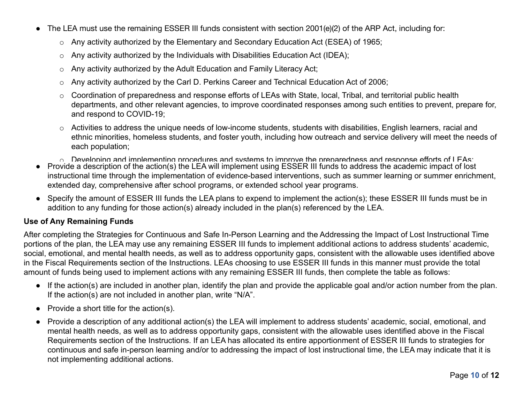- The LEA must use the remaining ESSER III funds consistent with section 2001(e)(2) of the ARP Act, including for:
	- o Any activity authorized by the Elementary and Secondary Education Act (ESEA) of 1965;
	- o Any activity authorized by the Individuals with Disabilities Education Act (IDEA);
	- o Any activity authorized by the Adult Education and Family Literacy Act;
	- o Any activity authorized by the Carl D. Perkins Career and Technical Education Act of 2006;
	- o Coordination of preparedness and response efforts of LEAs with State, local, Tribal, and territorial public health departments, and other relevant agencies, to improve coordinated responses among such entities to prevent, prepare for, and respond to COVID-19;
	- o Activities to address the unique needs of low-income students, students with disabilities, English learners, racial and ethnic minorities, homeless students, and foster youth, including how outreach and service delivery will meet the needs of each population;
	- $\circ$  Developing and implementing procedures and systems to improve the preparedness and response efforts of LEAs;
- Provide a description of the action(s) the LEA will implement using ESSER III funds to address the academic impact of lost instructional time through the implementation of evidence-based interventions, such as summer learning or summer enrichment, extended day, comprehensive after school programs, or extended school year programs.
- Specify the amount of ESSER III funds the LEA plans to expend to implement the action(s); these ESSER III funds must be in addition to any funding for those action(s) already included in the plan(s) referenced by the LEA.

### **Use of Any Remaining Funds**

After completing the Strategies for Continuous and Safe In-Person Learning and the Addressing the Impact of Lost Instructional Time portions of the plan, the LEA may use any remaining ESSER III funds to implement additional actions to address students' academic, social, emotional, and mental health needs, as well as to address opportunity gaps, consistent with the allowable uses identified above in the Fiscal Requirements section of the Instructions. LEAs choosing to use ESSER III funds in this manner must provide the total amount of funds being used to implement actions with any remaining ESSER III funds, then complete the table as follows:

- If the action(s) are included in another plan, identify the plan and provide the applicable goal and/or action number from the plan. If the action(s) are not included in another plan, write "N/A".
- $\bullet$  Provide a short title for the action(s).
- Provide a description of any additional action(s) the LEA will implement to address students' academic, social, emotional, and mental health needs, as well as to address opportunity gaps, consistent with the allowable uses identified above in the Fiscal Requirements section of the Instructions. If an LEA has allocated its entire apportionment of ESSER III funds to strategies for continuous and safe in-person learning and/or to addressing the impact of lost instructional time, the LEA may indicate that it is not implementing additional actions.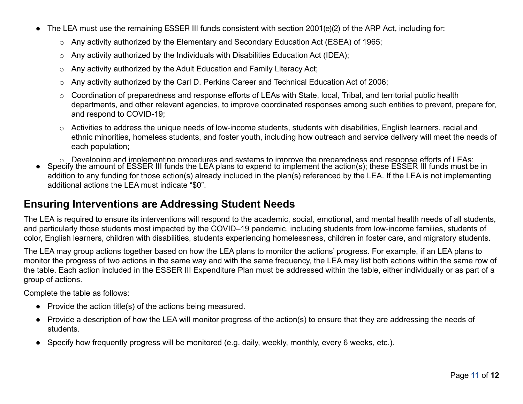- The LEA must use the remaining ESSER III funds consistent with section 2001(e)(2) of the ARP Act, including for:
	- o Any activity authorized by the Elementary and Secondary Education Act (ESEA) of 1965;
	- o Any activity authorized by the Individuals with Disabilities Education Act (IDEA);
	- o Any activity authorized by the Adult Education and Family Literacy Act;
	- o Any activity authorized by the Carl D. Perkins Career and Technical Education Act of 2006;
	- o Coordination of preparedness and response efforts of LEAs with State, local, Tribal, and territorial public health departments, and other relevant agencies, to improve coordinated responses among such entities to prevent, prepare for, and respond to COVID-19;
	- o Activities to address the unique needs of low-income students, students with disabilities, English learners, racial and ethnic minorities, homeless students, and foster youth, including how outreach and service delivery will meet the needs of each population;
	- $\circ$  Developing and implementing procedures and systems to improve the preparedness and response efforts of LEAs;
- Specify the amount of ESSER III funds the LEA plans to expend to implement the action(s); these ESSER III funds must be in addition to any funding for those action(s) already included in the plan(s) referenced by the LEA. If the LEA is not implementing additional actions the LEA must indicate "\$0".

### **Ensuring Interventions are Addressing Student Needs**

The LEA is required to ensure its interventions will respond to the academic, social, emotional, and mental health needs of all students, and particularly those students most impacted by the COVID–19 pandemic, including students from low-income families, students of color, English learners, children with disabilities, students experiencing homelessness, children in foster care, and migratory students.

The LEA may group actions together based on how the LEA plans to monitor the actions' progress. For example, if an LEA plans to monitor the progress of two actions in the same way and with the same frequency, the LEA may list both actions within the same row of the table. Each action included in the ESSER III Expenditure Plan must be addressed within the table, either individually or as part of a group of actions.

Complete the table as follows:

- Provide the action title(s) of the actions being measured.
- Provide a description of how the LEA will monitor progress of the action(s) to ensure that they are addressing the needs of students.
- Specify how frequently progress will be monitored (e.g. daily, weekly, monthly, every 6 weeks, etc.).